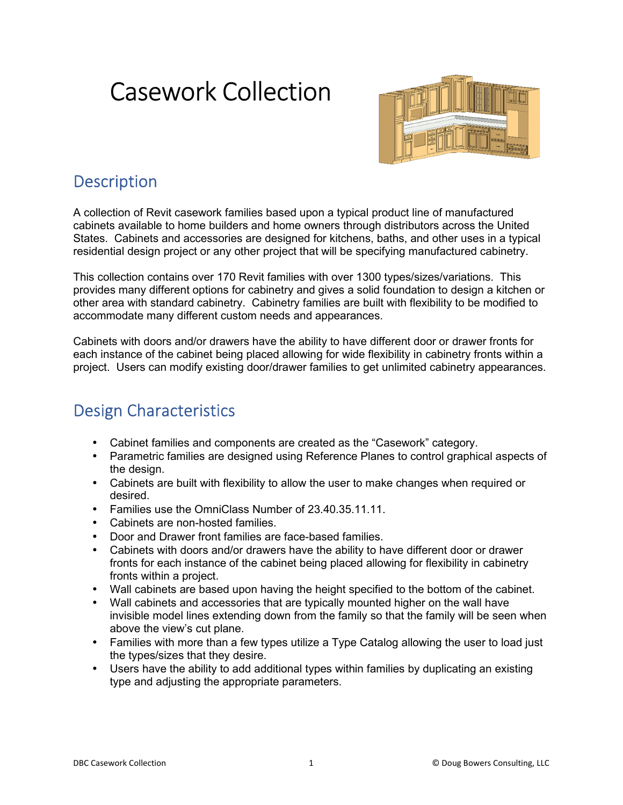# Casework Collection



# **Description**

A collection of Revit casework families based upon a typical product line of manufactured cabinets available to home builders and home owners through distributors across the United States. Cabinets and accessories are designed for kitchens, baths, and other uses in a typical residential design project or any other project that will be specifying manufactured cabinetry.

This collection contains over 170 Revit families with over 1300 types/sizes/variations. This provides many different options for cabinetry and gives a solid foundation to design a kitchen or other area with standard cabinetry. Cabinetry families are built with flexibility to be modified to accommodate many different custom needs and appearances.

Cabinets with doors and/or drawers have the ability to have different door or drawer fronts for each instance of the cabinet being placed allowing for wide flexibility in cabinetry fronts within a project. Users can modify existing door/drawer families to get unlimited cabinetry appearances.

# Design Characteristics

- Cabinet families and components are created as the "Casework" category.
- Parametric families are designed using Reference Planes to control graphical aspects of the design.
- Cabinets are built with flexibility to allow the user to make changes when required or desired.
- Families use the OmniClass Number of 23.40.35.11.11.
- Cabinets are non-hosted families.
- Door and Drawer front families are face-based families.
- Cabinets with doors and/or drawers have the ability to have different door or drawer fronts for each instance of the cabinet being placed allowing for flexibility in cabinetry fronts within a project.
- Wall cabinets are based upon having the height specified to the bottom of the cabinet.
- Wall cabinets and accessories that are typically mounted higher on the wall have invisible model lines extending down from the family so that the family will be seen when above the view's cut plane.
- Families with more than a few types utilize a Type Catalog allowing the user to load just the types/sizes that they desire.
- Users have the ability to add additional types within families by duplicating an existing type and adjusting the appropriate parameters.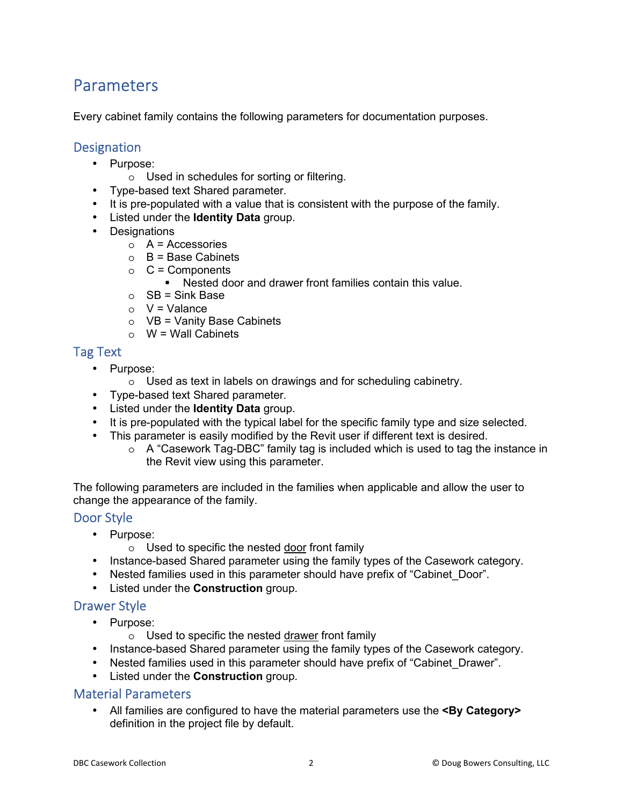## **Parameters**

Every cabinet family contains the following parameters for documentation purposes.

### **Designation**

- Purpose:
	- o Used in schedules for sorting or filtering.
- Type-based text Shared parameter.
- It is pre-populated with a value that is consistent with the purpose of the family.
- Listed under the **Identity Data** group.
- Designations
	- $\circ$  A = Accessories
	- $\circ$  B = Base Cabinets
	- $\circ$  C = Components
		- Nested door and drawer front families contain this value.
	- $\circ$  SB = Sink Base
	- $\circ$  V = Valance
	- $\circ$  VB = Vanity Base Cabinets
	- $\circ$  W = Wall Cabinets

### Tag Text

- Purpose:
	- o Used as text in labels on drawings and for scheduling cabinetry.
- Type-based text Shared parameter.
- Listed under the **Identity Data** group.
- It is pre-populated with the typical label for the specific family type and size selected.
- This parameter is easily modified by the Revit user if different text is desired.
	- $\circ$  A "Casework Tag-DBC" family tag is included which is used to tag the instance in the Revit view using this parameter.

The following parameters are included in the families when applicable and allow the user to change the appearance of the family.

#### Door Style

- Purpose:
	- o Used to specific the nested door front family
- Instance-based Shared parameter using the family types of the Casework category.
- Nested families used in this parameter should have prefix of "Cabinet Door".
- Listed under the **Construction** group.

#### Drawer Style

- Purpose:
	- $\circ$  Used to specific the nested drawer front family
- Instance-based Shared parameter using the family types of the Casework category.
- Nested families used in this parameter should have prefix of "Cabinet Drawer".
- Listed under the **Construction** group.

### Material Parameters

• All families are configured to have the material parameters use the **<By Category>** definition in the project file by default.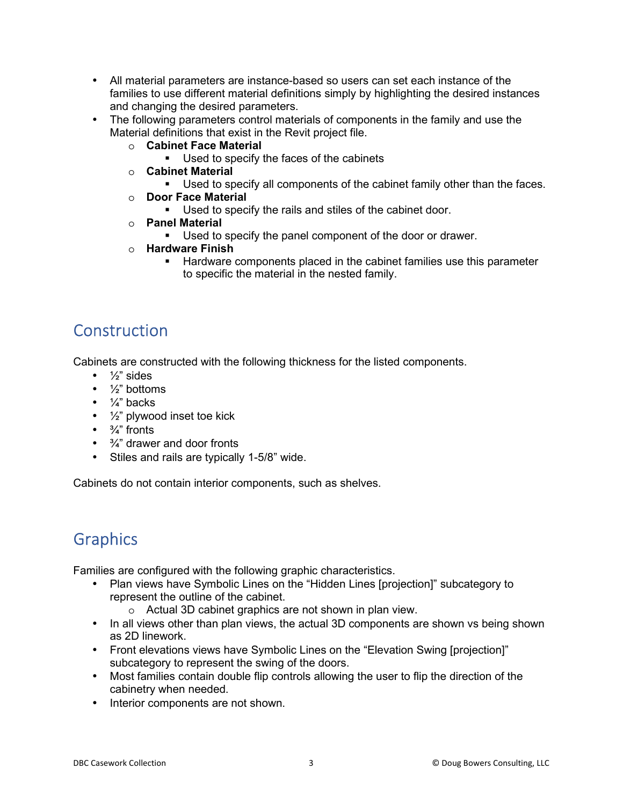- All material parameters are instance-based so users can set each instance of the families to use different material definitions simply by highlighting the desired instances and changing the desired parameters.
- The following parameters control materials of components in the family and use the Material definitions that exist in the Revit project file.
	- o **Cabinet Face Material** 
		- Used to specify the faces of the cabinets
	- o **Cabinet Material** 
		- Used to specify all components of the cabinet family other than the faces.
	- o **Door Face Material** 
		- Used to specify the rails and stiles of the cabinet door.
	- o **Panel Material** 
		- Used to specify the panel component of the door or drawer.
	- o **Hardware Finish** 
		- Hardware components placed in the cabinet families use this parameter to specific the material in the nested family.

# **Construction**

Cabinets are constructed with the following thickness for the listed components.

- $\bullet$   $\frac{1}{2}$ " sides
- $\bullet$   $\frac{1}{2}$ " bottoms
- $\bullet$   $\frac{1}{4}$ " backs
- $\bullet$   $\frac{1}{2}$ " plywood inset toe kick
- $\bullet$   $\frac{3}{4}$ " fronts
- $\bullet$   $\frac{3}{4}$ " drawer and door fronts
- Stiles and rails are typically 1-5/8" wide.

Cabinets do not contain interior components, such as shelves.

# **Graphics**

Families are configured with the following graphic characteristics.

- Plan views have Symbolic Lines on the "Hidden Lines [projection]" subcategory to represent the outline of the cabinet.
	- o Actual 3D cabinet graphics are not shown in plan view.
- In all views other than plan views, the actual 3D components are shown vs being shown as 2D linework.
- Front elevations views have Symbolic Lines on the "Elevation Swing [projection]" subcategory to represent the swing of the doors.
- Most families contain double flip controls allowing the user to flip the direction of the cabinetry when needed.
- Interior components are not shown.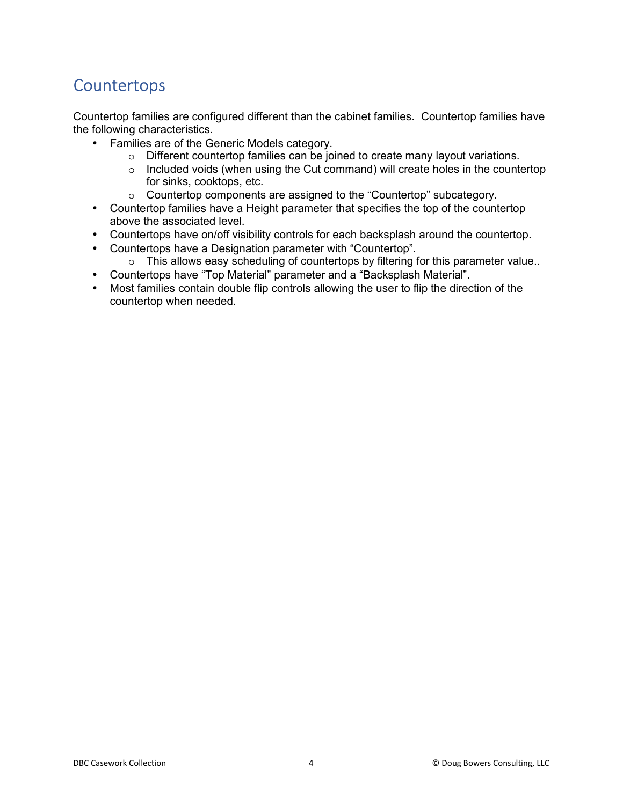# **Countertops**

Countertop families are configured different than the cabinet families. Countertop families have the following characteristics.

- Families are of the Generic Models category.
	- o Different countertop families can be joined to create many layout variations.
	- o Included voids (when using the Cut command) will create holes in the countertop for sinks, cooktops, etc.
	- o Countertop components are assigned to the "Countertop" subcategory.
- Countertop families have a Height parameter that specifies the top of the countertop above the associated level.
- Countertops have on/off visibility controls for each backsplash around the countertop.
- Countertops have a Designation parameter with "Countertop".
	- o This allows easy scheduling of countertops by filtering for this parameter value..
- Countertops have "Top Material" parameter and a "Backsplash Material".
- Most families contain double flip controls allowing the user to flip the direction of the countertop when needed.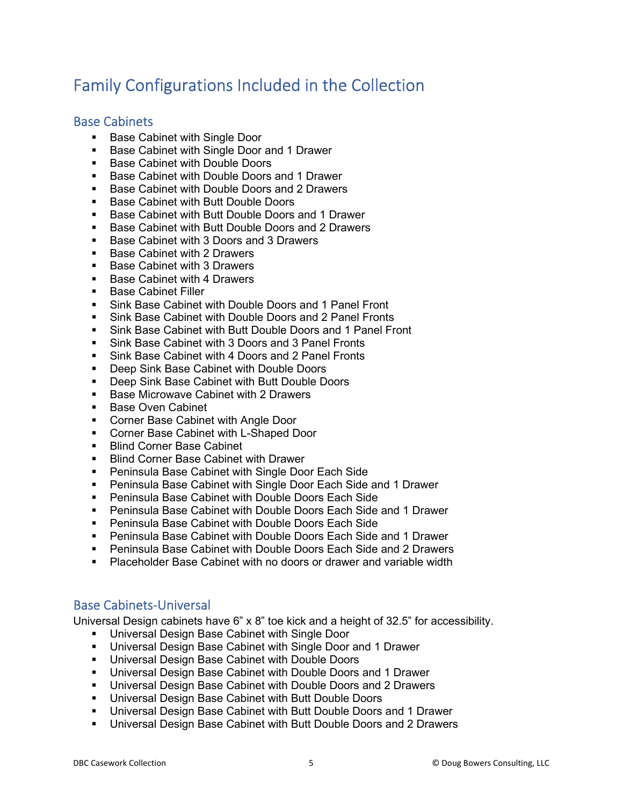# Family Configurations Included in the Collection

### Base Cabinets

- **Base Cabinet with Single Door**
- **Base Cabinet with Single Door and 1 Drawer**
- **Base Cabinet with Double Doors**
- Base Cabinet with Double Doors and 1 Drawer
- Base Cabinet with Double Doors and 2 Drawers
- **Base Cabinet with Butt Double Doors**
- Base Cabinet with Butt Double Doors and 1 Drawer<br>Base Cabinet with Butt Double Doors and 2 Drawers
- Base Cabinet with Butt Double Doors and 2 Drawers
- Base Cabinet with 3 Doors and 3 Drawers
- **Base Cabinet with 2 Drawers**
- Base Cabinet with 3 Drawers
- **Base Cabinet with 4 Drawers**
- **Base Cabinet Filler**
- Sink Base Cabinet with Double Doors and 1 Panel Front
- Sink Base Cabinet with Double Doors and 2 Panel Fronts
- Sink Base Cabinet with Butt Double Doors and 1 Panel Front
- Sink Base Cabinet with 3 Doors and 3 Panel Fronts
- **Sink Base Cabinet with 4 Doors and 2 Panel Fronts**
- **Deep Sink Base Cabinet with Double Doors**
- **Deep Sink Base Cabinet with Butt Double Doors**
- **Base Microwave Cabinet with 2 Drawers**
- **Base Oven Cabinet**
- **Corner Base Cabinet with Angle Door**
- **Corner Base Cabinet with L-Shaped Door**
- **Blind Corner Base Cabinet**
- **Blind Corner Base Cabinet with Drawer**
- **Peninsula Base Cabinet with Single Door Each Side**
- Peninsula Base Cabinet with Single Door Each Side and 1 Drawer
- **Peninsula Base Cabinet with Double Doors Each Side**
- Peninsula Base Cabinet with Double Doors Each Side and 1 Drawer
- **Peninsula Base Cabinet with Double Doors Each Side**
- Peninsula Base Cabinet with Double Doors Each Side and 1 Drawer
- Peninsula Base Cabinet with Double Doors Each Side and 2 Drawers
- Placeholder Base Cabinet with no doors or drawer and variable width

#### Base Cabinets-Universal

Universal Design cabinets have 6" x 8" toe kick and a height of 32.5" for accessibility.

- **Universal Design Base Cabinet with Single Door**
- Universal Design Base Cabinet with Single Door and 1 Drawer
- Universal Design Base Cabinet with Double Doors
- Universal Design Base Cabinet with Double Doors and 1 Drawer
- Universal Design Base Cabinet with Double Doors and 2 Drawers
- Universal Design Base Cabinet with Butt Double Doors
- Universal Design Base Cabinet with Butt Double Doors and 1 Drawer
- Universal Design Base Cabinet with Butt Double Doors and 2 Drawers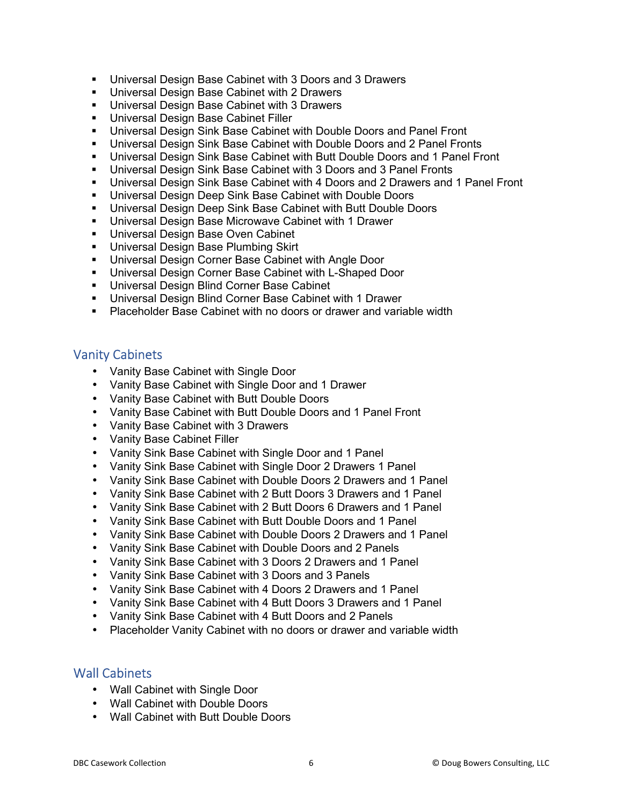- Universal Design Base Cabinet with 3 Doors and 3 Drawers
- **Universal Design Base Cabinet with 2 Drawers**
- **Universal Design Base Cabinet with 3 Drawers**
- Universal Design Base Cabinet Filler
- Universal Design Sink Base Cabinet with Double Doors and Panel Front
- Universal Design Sink Base Cabinet with Double Doors and 2 Panel Fronts
- Universal Design Sink Base Cabinet with Butt Double Doors and 1 Panel Front
- Universal Design Sink Base Cabinet with 3 Doors and 3 Panel Fronts
- Universal Design Sink Base Cabinet with 4 Doors and 2 Drawers and 1 Panel Front
- **Universal Design Deep Sink Base Cabinet with Double Doors**
- Universal Design Deep Sink Base Cabinet with Butt Double Doors
- Universal Design Base Microwave Cabinet with 1 Drawer
- **Universal Design Base Oven Cabinet**
- **Universal Design Base Plumbing Skirt**
- Universal Design Corner Base Cabinet with Angle Door
- **Universal Design Corner Base Cabinet with L-Shaped Door**
- **Universal Design Blind Corner Base Cabinet**
- Universal Design Blind Corner Base Cabinet with 1 Drawer
- **Placeholder Base Cabinet with no doors or drawer and variable width**

#### Vanity Cabinets

- Vanity Base Cabinet with Single Door
- Vanity Base Cabinet with Single Door and 1 Drawer
- Vanity Base Cabinet with Butt Double Doors
- Vanity Base Cabinet with Butt Double Doors and 1 Panel Front
- Vanity Base Cabinet with 3 Drawers
- Vanity Base Cabinet Filler
- Vanity Sink Base Cabinet with Single Door and 1 Panel
- Vanity Sink Base Cabinet with Single Door 2 Drawers 1 Panel
- Vanity Sink Base Cabinet with Double Doors 2 Drawers and 1 Panel
- Vanity Sink Base Cabinet with 2 Butt Doors 3 Drawers and 1 Panel
- Vanity Sink Base Cabinet with 2 Butt Doors 6 Drawers and 1 Panel
- Vanity Sink Base Cabinet with Butt Double Doors and 1 Panel
- Vanity Sink Base Cabinet with Double Doors 2 Drawers and 1 Panel
- Vanity Sink Base Cabinet with Double Doors and 2 Panels
- Vanity Sink Base Cabinet with 3 Doors 2 Drawers and 1 Panel
- Vanity Sink Base Cabinet with 3 Doors and 3 Panels
- Vanity Sink Base Cabinet with 4 Doors 2 Drawers and 1 Panel
- Vanity Sink Base Cabinet with 4 Butt Doors 3 Drawers and 1 Panel
- Vanity Sink Base Cabinet with 4 Butt Doors and 2 Panels
- Placeholder Vanity Cabinet with no doors or drawer and variable width

### Wall Cabinets

- Wall Cabinet with Single Door
- Wall Cabinet with Double Doors
- Wall Cabinet with Butt Double Doors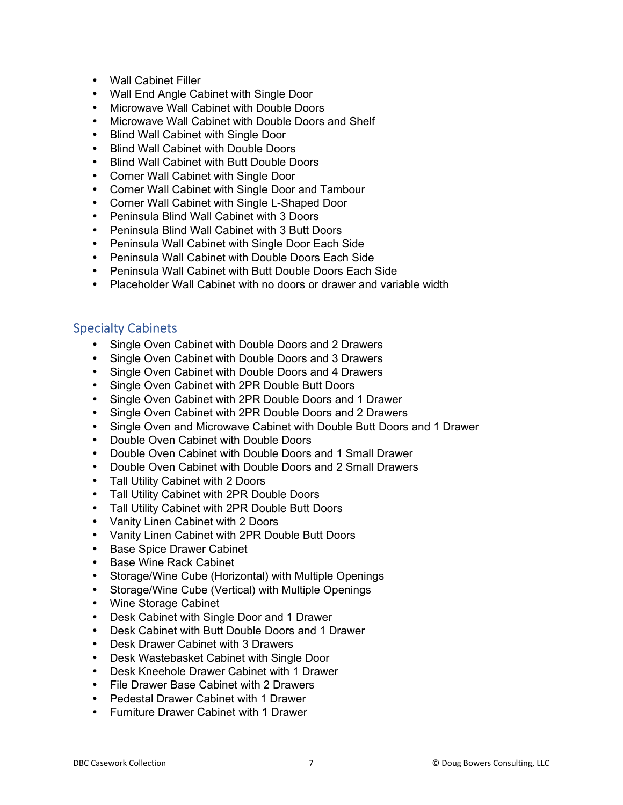- Wall Cabinet Filler
- Wall End Angle Cabinet with Single Door
- Microwave Wall Cabinet with Double Doors
- Microwave Wall Cabinet with Double Doors and Shelf
- Blind Wall Cabinet with Single Door
- Blind Wall Cabinet with Double Doors
- Blind Wall Cabinet with Butt Double Doors
- Corner Wall Cabinet with Single Door
- Corner Wall Cabinet with Single Door and Tambour
- Corner Wall Cabinet with Single L-Shaped Door
- Peninsula Blind Wall Cabinet with 3 Doors
- Peninsula Blind Wall Cabinet with 3 Butt Doors
- Peninsula Wall Cabinet with Single Door Each Side
- Peninsula Wall Cabinet with Double Doors Each Side
- Peninsula Wall Cabinet with Butt Double Doors Each Side
- Placeholder Wall Cabinet with no doors or drawer and variable width

### Specialty Cabinets

- Single Oven Cabinet with Double Doors and 2 Drawers
- Single Oven Cabinet with Double Doors and 3 Drawers
- Single Oven Cabinet with Double Doors and 4 Drawers
- Single Oven Cabinet with 2PR Double Butt Doors
- Single Oven Cabinet with 2PR Double Doors and 1 Drawer
- Single Oven Cabinet with 2PR Double Doors and 2 Drawers
- Single Oven and Microwave Cabinet with Double Butt Doors and 1 Drawer
- Double Oven Cabinet with Double Doors
- Double Oven Cabinet with Double Doors and 1 Small Drawer
- Double Oven Cabinet with Double Doors and 2 Small Drawers
- Tall Utility Cabinet with 2 Doors
- Tall Utility Cabinet with 2PR Double Doors
- Tall Utility Cabinet with 2PR Double Butt Doors
- Vanity Linen Cabinet with 2 Doors
- Vanity Linen Cabinet with 2PR Double Butt Doors
- Base Spice Drawer Cabinet
- Base Wine Rack Cabinet
- Storage/Wine Cube (Horizontal) with Multiple Openings
- Storage/Wine Cube (Vertical) with Multiple Openings
- Wine Storage Cabinet
- Desk Cabinet with Single Door and 1 Drawer
- Desk Cabinet with Butt Double Doors and 1 Drawer
- Desk Drawer Cabinet with 3 Drawers
- Desk Wastebasket Cabinet with Single Door
- Desk Kneehole Drawer Cabinet with 1 Drawer
- File Drawer Base Cabinet with 2 Drawers
- Pedestal Drawer Cabinet with 1 Drawer
- Furniture Drawer Cabinet with 1 Drawer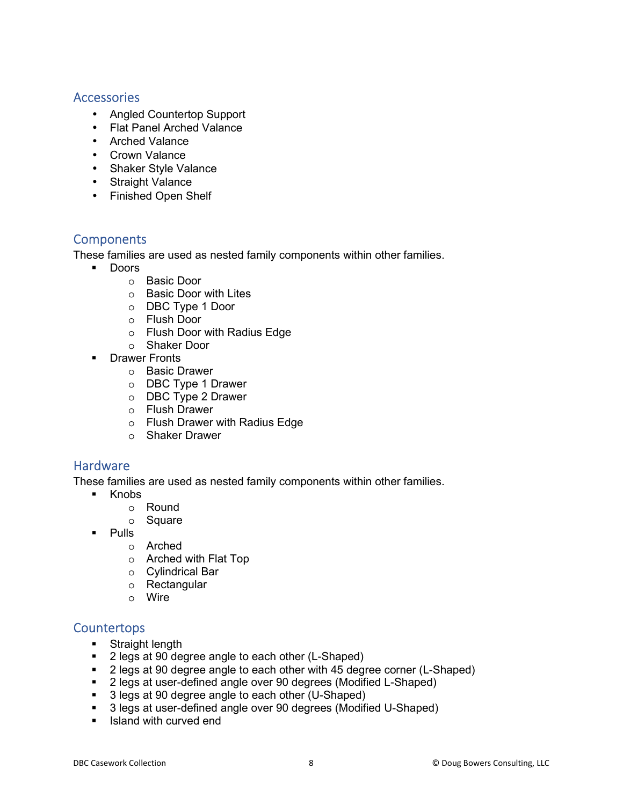#### Accessories

- Angled Countertop Support
- Flat Panel Arched Valance
- Arched Valance
- Crown Valance
- Shaker Style Valance
- Straight Valance
- Finished Open Shelf

### **Components**

These families are used as nested family components within other families.

- **Doors** 
	- o Basic Door
	- o Basic Door with Lites
	- o DBC Type 1 Door
	- o Flush Door
	- o Flush Door with Radius Edge
	- o Shaker Door
- **Drawer Fronts** 
	- o Basic Drawer
	- o DBC Type 1 Drawer
	- o DBC Type 2 Drawer
	- o Flush Drawer
	- o Flush Drawer with Radius Edge
	- o Shaker Drawer

#### **Hardware**

These families are used as nested family components within other families.

- **E** Knobs
	- o Round
	- o Square
- **Pulls** 
	- o Arched
	- o Arched with Flat Top
	- o Cylindrical Bar
	- o Rectangular
	- o Wire

#### **Countertops**

- **Straight length**
- 2 legs at 90 degree angle to each other (L-Shaped)
- 2 legs at 90 degree angle to each other with 45 degree corner (L-Shaped)
- 2 legs at user-defined angle over 90 degrees (Modified L-Shaped)
- 3 legs at 90 degree angle to each other (U-Shaped)
- 3 legs at user-defined angle over 90 degrees (Modified U-Shaped)
- Island with curved end